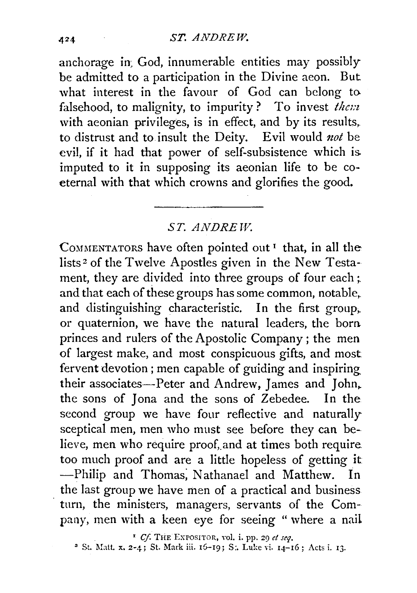anchorage in God, innumerable entities may possibly be admitted to a participation in the Divine aeon. But what interest in the favour of God can belong to falsehood, to malignity, to impurity? To invest *them*  with aeonian privileges, is in effect, and by its results, to distrust and to insult the Deity. Evil would *not* be evil, if it had that power of self-subsistence which is. imputed to it in supposing its aeonian life to be eoeternal with that which crowns and glorifies the good.

## *ST. ANDREW.*

COMMENTATORS have often pointed out<sup>1</sup> that, in all the lists 2 of the Twelve Apostles given in the New Testament, they are divided into three groups of four each; and that each of these groups has some common, notable, and distinguishing characteristic. In the first group,. or quaternion, we have the natural leaders, the born. princes and rulers of the Apostolic Company ; the men of largest make, and most conspicuous gifts, and most fervent devotion ; men capable of guiding and inspiring. their associates-Peter and Andrew, James and John, the sons of Jona and the sons of Zebedee. In the second group we have four reflective and naturally sceptical men, men who must see before they can believe, men who require proof, and at times both require too much proof and are a little hopeless of getting it -Philip and Thomas; Nathanael and Matthew. In the last group we have men of a practical and business turn, the ministers, managers, servants of the Company, men with a keen eye for seeing " where a nail

' *Cf.* THE EXPOSITOR, Yol. i. pp. 29 *et seq.* 

<sup>2</sup> St. Matt. x. 2-4; St. Mark iii. 16-19; S:. Luke vi.  $14-16$ ; Acts i. 13.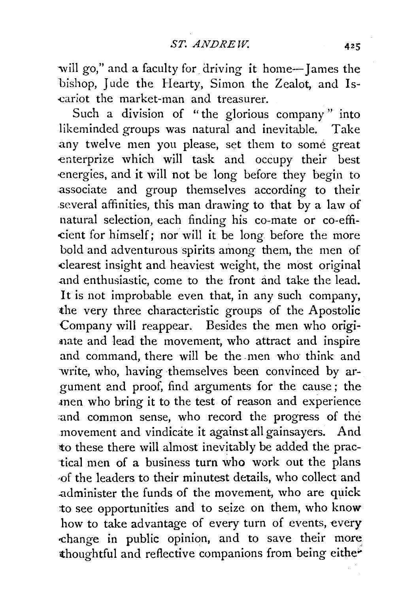will go," and a faculty for driving it home-James the bishop, Jude the Hearty, Simon the Zealot, and Is--cariot the market-man and treasurer.

Such a division of "the glorious company" into likeminded groups was natural and inevitable. Take any twelve men you please, set them to some great enterprize which will task and occupy their best energies, and it will not be long before they begin to associate and group themselves according to their several affinities, this man drawing to that by a law of natural selection, each finding his eo-mate or co-effi- ·cient for himself; nor will it be long before the more bold and adventurous spirits among them, the men of -clearest insight and heaviest weight, the most original .and enthusiastic, come to the front and take the lead. It is not improbable even that, in any such company, the very three characteristic groups of the Apostolic Company will reappear. Besides the men who originate and lead the movement, who attract and inspire and command, there will be the men who think and write, who, having themselves been convinced by argument and proof, find arguments for the cause; the .men who bring it to the test of reason and experience and common sense, who record the progress of the movement and vindicate it against all gainsayers. And to these there will almost inevitably be added the practical men of a business turn who work out the plans -of the leaders to their minutest details, who collect and administer the funds of the movement, who are quick 1:o see opportunities and to seize on them, who know how to take advantage of every turn of events, every -change in public opinion, and to save their more thoughtful and reflective companions from being either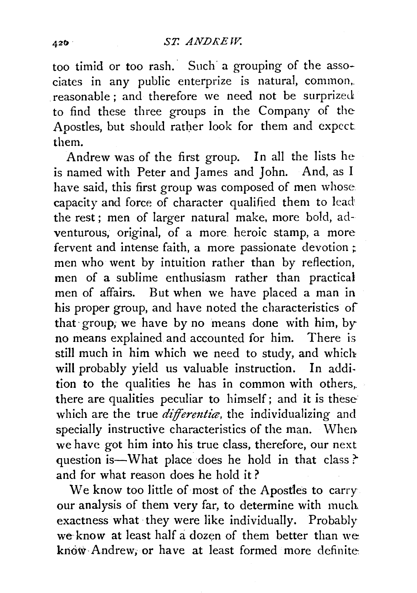too timid or too rash. Such a grouping of the associates in any public enterprize is natural, common, reasonable ; and therefore we need not be surprized to find these three groups in the Company of the Apostles, but should rather look for them and expect them.

Andrew was of the first group. In all the lists he is named with Peter and James and John. And, as I have said, this first group was composed of men whose capacity and force of character qualified them to lead the rest; men of larger natural make, more bold, adventurous, original, of a more heroic stamp, a more fervent and intense faith, a more passionate devotion ; men who went by intuition rather than by reflection, men of a sublime enthusiasm rather than practical men of affairs. But when we have placed a man in his proper group, and have noted the characteristics of that· group; we have by no means done with him, by no means explained and accounted for him. There is still much in him which we need to study, and which will probably yield us valuable instruction. In addition to the qualities he has in common with others, there are qualities peculiar to himself; and it is these which are the true *differentia*, the individualizing and specially instructive characteristics of the man. When. we have got him into his true class, therefore, our next question is-What place does he hold in that class? and for what reason does he hold it ?

We know too little of most of the Apostles to carry. our analysis of them very far, to determine with much, exactness what they were like individually. Probably we know at least half a dozen of them better than we know Andrew, or have at least formed more definite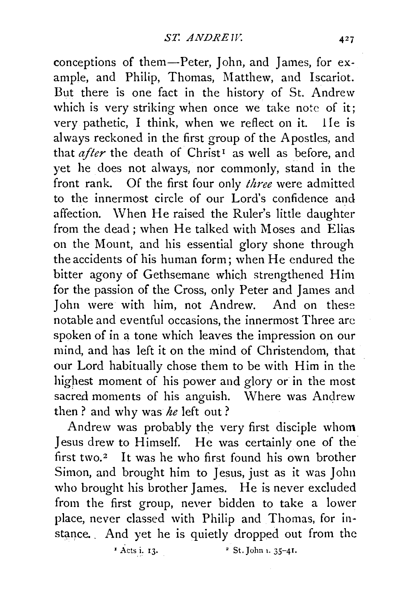conceptions of them-Peter, John, and James, for example, and Philip, Thomas, Matthew, and Iscariot. But there is one fact in the history of St. Andrew which is very striking when once we take note of it: very pathetic, I think, when we reflect on it. lie is always reckoned in the first group of the Apostles, and that *after* the death of Christ<sup>1</sup> as well as before, and yet he does not always, nor commonly, stand in the front rank. Of the first four only *three* were admitted to the innermost circle of our Lord's confidence and affection. \Vhen He raised the Ruler's little daughter from the dead; when He talked with Moses and Elias on the Mount, and his essential glory shone through the accidents of his human form; when He endured the bitter agony of Gethsemane which strengthened Him for the passion of the Cross, only Peter and James and John were with him, not Andrew. And on these notable and eventful occasions, the innermost Three arc spoken of in a tone which leaves the impression on our mind, and has left it on the mind of Christendom, that our Lord habitually chose them to be with Him in the highest moment of his power and glory or in the most sacred moments of his anguish. Where was Andrew then? and why was *he* left out?

Andrew was probably the very first disciple whom Jesus drew to Himself. He was certainly one of the first two.<sup>2</sup> It was he who first found his own brother Simon, and brought him to Jesus, just as it was John who brought his brother James. He is never excluded from the first group, never bidden to take a lower place, never classed with Philip and Thomas, for instance. And yet he is quietly dropped out from the

 $\vec{A}$ cts i. 13.  $\vec{B}$   $\vec{C}$  St. John 1. 35-41.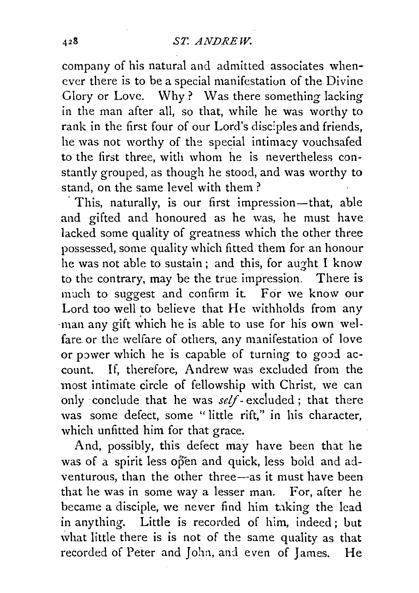company of his natural and admitted associates whenever there is to be a special manifestation of the Divine Glory or Love. Why? Was there something lacking in the man after all, so that, while he was worthy to rank in the first four of our Lord's disciples and friends, he was not worthy of the special intimacy vouchsafed to the first three, with whom he is nevertheless constantly grouped, as though he stood, and was worthy to stand, on the same level with them ?

This, naturally, is our first impression—that, able and gifted and honoured as he was, he must have lacked some quality of greatness which the other three possessed, some quality which fitted them for an honour he was not able to sustain; and this, for aught I know to the contrary, may be the true impression. There is much to suggest and confirm it. For we know our Lord too well to believe that He withholds from any man any gift which he is able to use for his own welfare. or the welfare of others, any manifestation of love or power which he is capable of turning to good account. If, therefore, Andrew was excluded from the most intimate circle of fellowship with Christ, we can only conclude that he was *self-* excluded ; that there was some defect, some "little rift," in his character, which unfitted him for that grace.

And, possibly, this defect may have been that he was of a spirit less open and quick, less bold and adventurous, than the other three-as it must have been that he was in some way a lesser man. For, after he became a disciple, we never find him taking the lead in anything. Little is recorded of him, indeed ; but what little there is is not of the same quality as that recorded of Peter and John, and even of James. He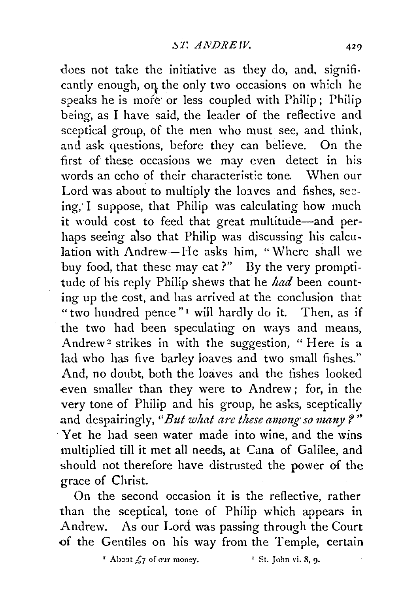does not take the initiative as they do, and, significantly enough, on the only two occasions on which he speaks he is more or less coupled with Philip; Philip being, as I have said, the leader of the reflective and sceptical group, of the men who must see, and think, and ask questions, before they can believe. On the first of these occasions we may even detect in his words an echo of their characteristic tone. When our Lord was about to multiply the loaves and fishes, seeing; I suppose, that Philip was calculating how much it would cost to feed that great multitude-and perhaps seeing also that Philip was discussing his calculation with Andrew-He asks him, "Where shall we buy food, that these may eat?" By the very promptitude of his reply Philip shews that he *had* been counting up the cost, and has arrived at the conclusion that "two hundred pence"<sup>1</sup> will hardly do it. Then, as if the two had been speculating on ways and means, Andrew<sup>2</sup> strikes in with the suggestion, "Here is a lad who has five barley loaves and two small fishes." And, no doubt, both the loaves and the fishes looked even smaller than they were to Andrew; for, in the very tone of Philip and his group, he asks, sceptically and despairingly, "*But what are these among so many?*" Yet he had seen water made into wine, and the wins multiplied till it met all needs, at Cana of Galilee, and should not therefore have distrusted the power of the grace of Christ.

On the second occasion it is the reflective, rather than the sceptical, tone of Philip which appears in Andrew. As our Lord was passing through the Court of the Gentiles on his way from the Temple, certain

 $\cdot$  About  $\zeta$  7 of our money.  $\cdot$  <sup>2</sup> St. John vi. 8, 9.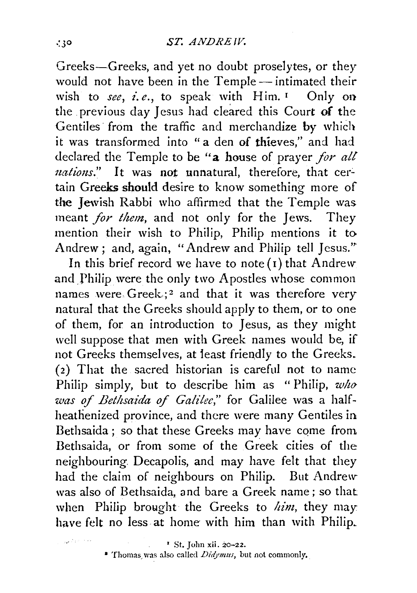Greeks-Greeks, and yet no doubt proselytes, or they would not have been in the Temple- intimated their wish to *see*, *i.e.*, to speak with Him.<sup>1</sup> Only on the previous day Jesus had cleared this Court of the Gentiles from the traffic and merchandize by which it was transformed into "a den of thieves," and had declared the Temple to be "a house of prayer for all *uations.*" It was not unnatural, therefore, that certain Greeks should desire to know something more of the Jewish Rabbi who affirmed that the Temple was meant *for them*, and not only for the Jews. They mention their wish to Philip, Philip mentions it to Andrew; and, again, "Andrew and Philip tell Jesus."

In this brief record we have to note  $(i)$  that Andrew and Philip were the only two Apostles whose common names were Greek.;<sup>2</sup> and that it was therefore very natural that the Greeks should apply to them, or to one of them, for an introduction to Jesus, as they might well suppose that men with Greek names would be, if not Greeks themselves, at least friendly to the Greeks. (2) That the sacred historian is careful not to name Philip simply, bnt to describe him as "Philip, *wlw was of Bethsaida of Galilee*," for Galilee was a halfheathenized province, and there were many Gentiles in Bethsaida; so that these Greeks may have come from Bethsaida, or from some of the Greek cities of the neighbouring. Decapolis, and may have felt that they had the claim of neighbours on Philip. But Andrew was also of Bethsaida, and bare a Greek name; so that when Philip brought the Greeks to *him*, they may have felt no less at home with him than with Philip.

<sup>\*</sup> Thomas was also called *Didymus*, but not commonly.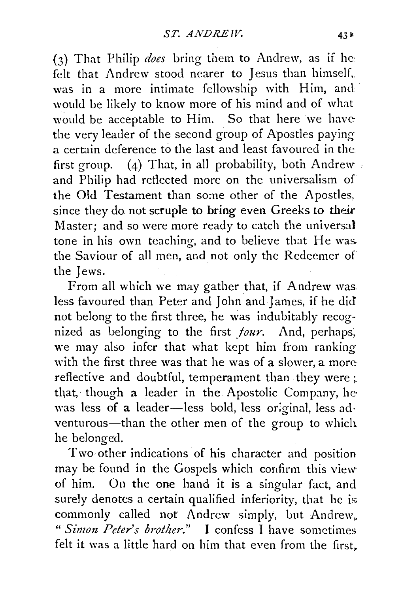(3) That Philip *does* bring them to Anclrew, as if he· felt that Andrew stood nearer to Jesus than himself,. was in a more intimate fellowship with Him, and would be likely to know more of his mind and of what would be acceptable to Him. So that here we havethe very leader of the second group of Apostles paying a certain deference to the last and least favoured in the first group. (4) That, in all probability, both Andrew and Philip had retlected more on the universalism of the Old Testament than some other of the Apostles, since they do not scruple to bring even Greeks to their Master; and so were more ready to catch the universal tone in his own teaching, and to believe that He was. the Saviour of all men, and not only the Redeemer of the Jews.

From all which we may gather that, if Andrew was less favoured than Peter and John and James, if he did not belong to the first three, he was indubitably recognized as belonging to the first *jour.* And, perhaps; we may also infer that what kept him from ranking with the first three was that he was of a slower, a morereflective and doubtful, temperament than they were  $\colon$ that, though a leader in the Apostolic Company, he was less of a leader-less bold, less original, less adventurous-than the other men of the group to which he belonged.

Two other indications of his character and position may be found in the Gospels which confirm this view of him. On the one hand it is a singular fact, and surely denotes a certain qualified inferiority, that he is commonly called not Andrew simply, but Andrew, *" Simon Peter's brother."* I confess I have sometimes felt it was a little hard on him that even from the first.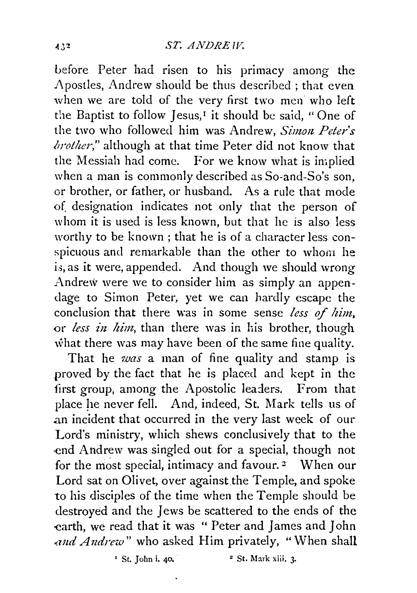before Peter had risen to his primacy among the Apostles, Andrew should be thus described ; that even when we are told of the very first two men who left the Baptist to follow  $\lceil \text{esus}, \cdot \rceil$  it should be said, "One of the two who followed him was Andrew, *Simon Peter's brother,"* although at that time Peter did not know that the Messiah had come. For we know what is implied when a man is commonly described as So-and-So's son, or brother, or father, or husband. As a rule that mode of designation indicates not only that the person of whom it is used is less known, but that he is also less worthy to be known; that he is of a character less conspicuous and remarkable than the other to whom he is, as it were, appended. And though we should wrong Andrew were we to consider him as simply an appendage to Simon Peter, yet we can hardly escape the conclusion that there was in some sense *less of him,*  or *less in, him,* than there was in his brother, though what there was may have been of the same fine quality.

That he *was* a man of fine quality and stamp is proved by the fact that he is placed and kept in the first group, among the Apostolic leaders. From that place he never fell. And, indeed, St. Mark tells us of .an incident that occurred in the very last week of our Lord's ministry, which shews conclusively that to the ·end Andrew was singled out for a special, though not for the most special, intimacy and favour.  $2$  When our Lord sat on Olivet, over against the Temple, and spoke to his disciples of the time when the Temple should be destroyed and the Jews be scattered to the ends of the earth, we read that it was " Peter and James and John *and Andrew"* who asked Him privately, "When shall

 $\frac{1}{2}$  St. John i. 40.  $\frac{1}{2}$  St. Mark xiii. 3.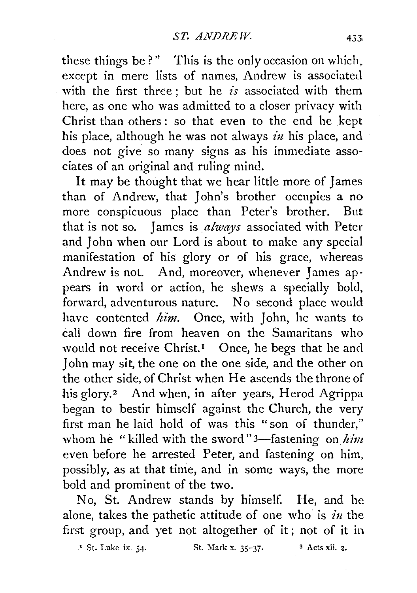these things be?" This is the only occasion on which, except in mere lists of names, Andrew is associated with the first three ; but he *is* associated with them here, as one who was admitted to a closer privacy with Christ than others : so that even to the end he kept his place, although he was not always *in* his place, and does not give so many signs as his immediate associates of an original and ruling mind.

It may be thought that we hear little more of James than of Andrew, that John's brother occupies a no more conspicuous place than Peter's brother. But that is not so. James is *always* associated with Peter and John when our Lord is about to make any special manifestation of his glory or of his grace, whereas Andrew is not. And, moreover, whenever James appears in word or action, he shews a specially bold, forward, adventurous nature. No second place would have contented *him*. Once, with John, he wants to call down fire from heaven on the Samaritans who would not receive Christ.<sup>1</sup> Once, he begs that he and John may sit, the one on the one side, and the other on the other side, of Christ when He ascends the throne of his glory.<sup>2</sup> And when, in after years, Herod Agrippa began to bestir himself against the Church, the very first man he laid hold of was this "son of thunder," whom he "killed with the sword" 3—fastening on *him* even before he arrested Peter, and fastening on him, possibly, as at that time, and in some ways, the more bold and prominent of the two.

No, St. Andrew stands by himself. He, and he alone, takes the pathetic attitude of one who is *in* the first group, and yet not altogether of it; not of it in

.• St. Luke ix. 54· St. Mark x. 35-37· 3 Acts xii. 2.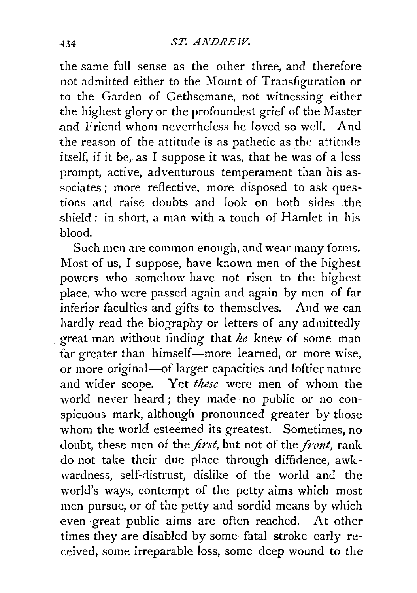the same full sense as the other three, and therefore not admitted either to the Mount of Transfiguration or to the Garden of Gethsemane, not witnessing either the highest glory or the profoundest grief of the Master and Friend whom nevertheless he loved so well. And the reason of the attitude is as pathetic as the attitude itself, if it be, as I suppose it was, that he was of a less prompt, active, adventurous temperament than his as sociates; more reflective, more disposed to ask questions and raise doubts and look on both sides the shield : in short, a man with a touch of Hamlet in his blood.

Such men are common enough, and wear many forms. Most of us, I suppose, have known men of the highest powers who somehow have not risen to the highest place, who were passed again and again by men of far inferior faculties and gifts to themselves. And we can hardly read the biography or letters of any admittedly great man without finding that *he* knew of some man far greater than himself--more learned, or more wise, or more original-of larger capacities and loftier nature and wider scope. Yet *these* were men of whom the world never heard ; they made no public or no conspicuous mark, although pronounced greater by those whom the world esteemed its greatest. Sometimes, no doubt, these men of the *first,* but not of the *front,* rank do not take their due place through diffidence, awkwardness, self-distrust, dislike of the world and the world's ways, contempt of the petty aims which most men pursue, or of the petty and sordid means by which even great public aims are often reached. At other times they are disabled by some fatal stroke early received, some irreparable loss, some deep wound to the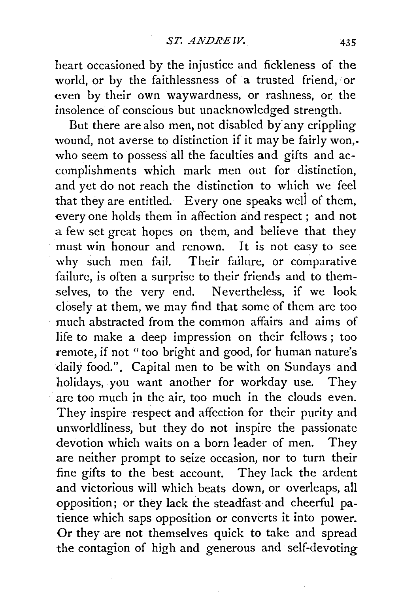heart occasioned by the injustice and fickleness of the world, or by the faithlessness of a trusted friend, or even by their own waywardness, or rashness, or the insolence of conscious but unacknowledged strength.

But there are also men, not disabled by any crippling wound, not averse to distinction if it may be fairly won,. who seem to possess all the faculties and gifts and accomplishments which mark men out for distinction, and vet do not reach the distinction to which we feel that they are entitled. Every one speaks weli of them, every one holds them in affection and respect ; and not a few set great hopes on them, and believe that they must win honour and renown. It is not easy to see why such men fail. Their failure, or comparative failure, is often a surprise to their friends and to themselves, to the very end. Nevertheless, if we look dosely at them, we may find that some of them are too much abstracted from the common affairs and aims of life to make a deep impression on their fellows ; too remote, if not "too bright and good, for human nature's daily food.". Capital men to be with on Sundays and holidays, you want another for workday use. They are too much in the air, too much in the clouds even. They inspire respect and affection for their purity and unworldliness, but they do not inspire the passionate devotion which waits on a born leader of men. They are neither prompt to seize occasion, nor to turn their fine gifts to the best account. They lack the ardent and victorious will which beats down, or overleaps, all opposition; or they lack the steadfast and cheerful patience which saps opposition or converts it into power. Or they are not themselves quick to take and spread the contagion of high and generous and self-devoting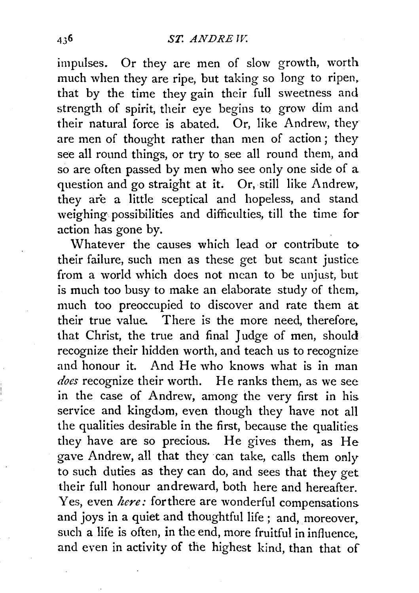impulses. Or they are men of slow growth, worth much when they are ripe, but taking so long to ripen. that by the time they gain their full sweetness and strength of spirit, their eye begins to grow dim and their natural force is abated. Or, like Andrew, they are men of thought rather than men of action ; they see all round things, or try to see all round them, and so are often passed by men who see only one side of a question and go straight at it. Or, still like Andrew, they are a little sceptical and hopeless, and stand weighing possibilities and difficulties, till the time for action has gone by.

Whatever the causes which lead or contribute to their failure, such men as these get but scant justice from a world which does not mean to be unjust, but is much too busy to make an elaborate study of them. much too preoccupied to discover and rate them at their true value. There is the more need, therefore, that Christ, the true and final Judge of men, should recognize their hidden worth, and teach us to recognize and honour it. And He who knows what is in man *does* recognize their worth. He ranks them, as we see in the case of Andrew, among the very first in his service and kingdom, even though they have not all the qualities desirable in the first, because the qualities they have are so precious. He gives them, as He gave Andrew, all that they can take, calls them only to such duties as they can do, and sees that they get their full honour andreward, both here and hereafter. Yes, even *here*: for there are wonderful compensations and joys in a quiet and thoughtful life; and, moreover. such a life is often, in the end, more fruitful in influence, and even in activity of the highest kind, than that of